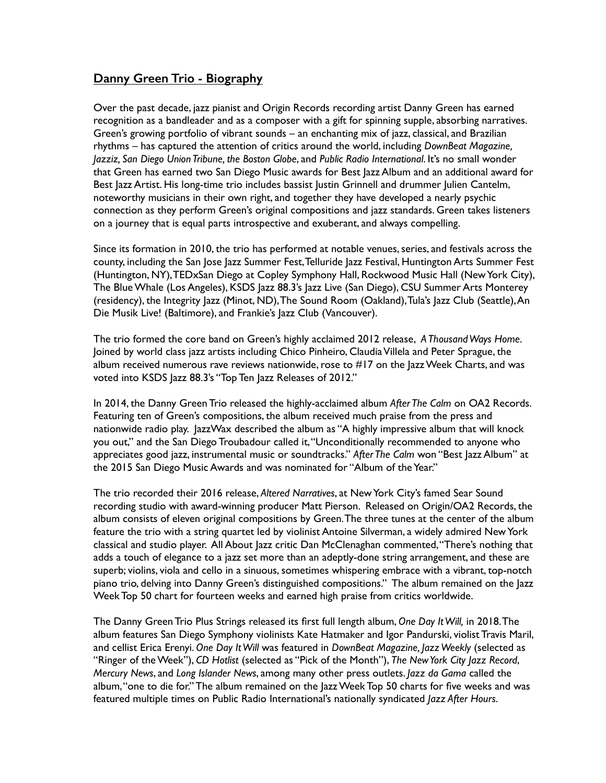## **Danny Green Trio - Biography**

Over the past decade, jazz pianist and Origin Records recording artist Danny Green has earned recognition as a bandleader and as a composer with a gift for spinning supple, absorbing narratives. Green's growing portfolio of vibrant sounds – an enchanting mix of jazz, classical, and Brazilian rhythms – has captured the attention of critics around the world, including *DownBeat Magazine, Jazziz, San Diego Union Tribune, the Boston Globe*, and *Public Radio International*. It's no small wonder that Green has earned two San Diego Music awards for Best Jazz Album and an additional award for Best Jazz Artist. His long-time trio includes bassist Justin Grinnell and drummer Julien Cantelm, noteworthy musicians in their own right, and together they have developed a nearly psychic connection as they perform Green's original compositions and jazz standards. Green takes listeners on a journey that is equal parts introspective and exuberant, and always compelling.

Since its formation in 2010, the trio has performed at notable venues, series, and festivals across the county, including the San Jose Jazz Summer Fest, Telluride Jazz Festival, Huntington Arts Summer Fest (Huntington, NY), TEDxSan Diego at Copley Symphony Hall, Rockwood Music Hall (New York City), The Blue Whale (Los Angeles), KSDS Jazz 88.3's Jazz Live (San Diego), CSU Summer Arts Monterey (residency), the Integrity Jazz (Minot, ND), The Sound Room (Oakland), Tula's Jazz Club (Seattle), An Die Musik Live! (Baltimore), and Frankie's Jazz Club (Vancouver).

The trio formed the core band on Green's highly acclaimed 2012 release, *A Thousand Ways Home*. Joined by world class jazz artists including Chico Pinheiro, Claudia Villela and Peter Sprague, the album received numerous rave reviews nationwide, rose to #17 on the Jazz Week Charts, and was voted into KSDS Jazz 88.3's "Top Ten Jazz Releases of 2012."

In 2014, the Danny Green Trio released the highly-acclaimed album *After The Calm* on OA2 Records. Featuring ten of Green's compositions, the album received much praise from the press and nationwide radio play. JazzWax described the album as "A highly impressive album that will knock you out," and the San Diego Troubadour called it, "Unconditionally recommended to anyone who appreciates good jazz, instrumental music or soundtracks." *After The Calm* won "Best Jazz Album" at the 2015 San Diego Music Awards and was nominated for "Album of the Year."

The trio recorded their 2016 release, *Altered Narratives*, at New York City's famed Sear Sound recording studio with award-winning producer Matt Pierson. Released on Origin/OA2 Records, the album consists of eleven original compositions by Green. The three tunes at the center of the album feature the trio with a string quartet led by violinist Antoine Silverman, a widely admired New York classical and studio player. All About Jazz critic Dan McClenaghan commented, "There's nothing that adds a touch of elegance to a jazz set more than an adeptly-done string arrangement, and these are superb; violins, viola and cello in a sinuous, sometimes whispering embrace with a vibrant, top-notch piano trio, delving into Danny Green's distinguished compositions." The album remained on the Jazz Week Top 50 chart for fourteen weeks and earned high praise from critics worldwide.

The Danny Green Trio Plus Strings released its first full length album, *One Day It Will,* in 2018. The album features San Diego Symphony violinists Kate Hatmaker and Igor Pandurski, violist Travis Maril, and cellist Erica Erenyi. *One Day It Will* was featured in *DownBeat Magazine, Jazz Weekly* (selected as "Ringer of the Week"), *CD Hotlist* (selected as "Pick of the Month"), *The New York City Jazz Record*, *Mercury News*, and *Long Islander News*, among many other press outlets. *Jazz da Gama* called the album, "one to die for." The album remained on the Jazz Week Top 50 charts for five weeks and was featured multiple times on Public Radio International's nationally syndicated *Jazz After Hours*.